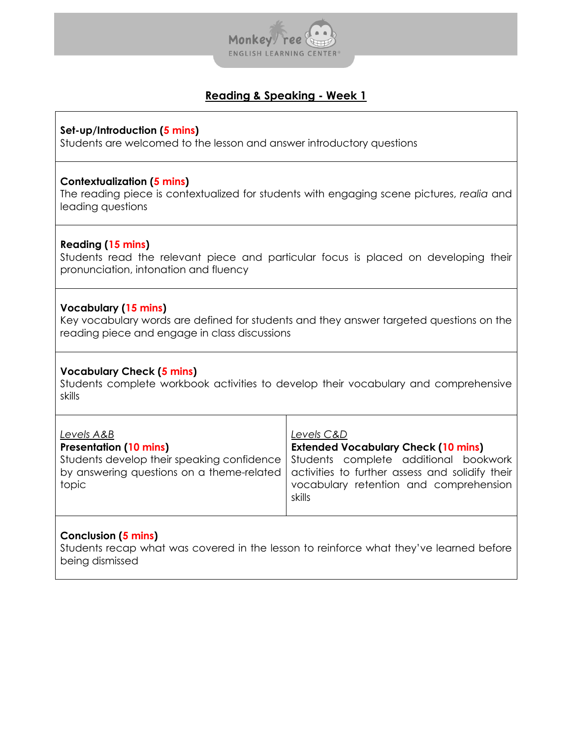

## **Set-up/Introduction (5 mins)**

Students are welcomed to the lesson and answer introductory questions

## **Contextualization (5 mins)**

The reading piece is contextualized for students with engaging scene pictures, *realia* and leading questions

## **Reading (15 mins)**

Students read the relevant piece and particular focus is placed on developing their pronunciation, intonation and fluency

## **Vocabulary (15 mins)**

Key vocabulary words are defined for students and they answer targeted questions on the reading piece and engage in class discussions

## **Vocabulary Check (5 mins)**

Students complete workbook activities to develop their vocabulary and comprehensive skills

| Levels A&B<br><b>Presentation (10 mins)</b><br>topic | Levels C&D<br><b>Extended Vocabulary Check (10 mins)</b><br>Students develop their speaking confidence   Students complete additional bookwork<br>by answering questions on a theme-related activities to further assess and solidify their<br>vocabulary retention and comprehension<br>skills |
|------------------------------------------------------|-------------------------------------------------------------------------------------------------------------------------------------------------------------------------------------------------------------------------------------------------------------------------------------------------|
|                                                      |                                                                                                                                                                                                                                                                                                 |

## **Conclusion (5 mins)**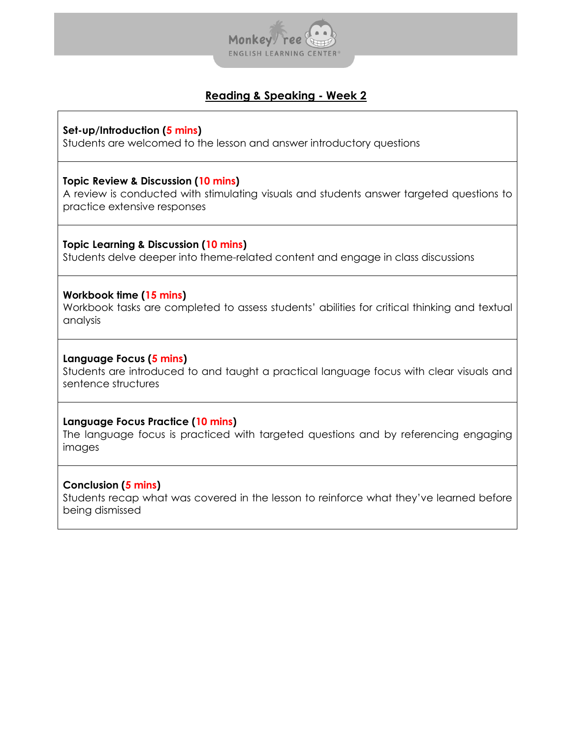

## **Set-up/Introduction (5 mins)**

Students are welcomed to the lesson and answer introductory questions

## **Topic Review & Discussion (10 mins)**

A review is conducted with stimulating visuals and students answer targeted questions to practice extensive responses

### **Topic Learning & Discussion (10 mins)**

Students delve deeper into theme-related content and engage in class discussions

### **Workbook time (15 mins)**

Workbook tasks are completed to assess students' abilities for critical thinking and textual analysis

### **Language Focus (5 mins)**

Students are introduced to and taught a practical language focus with clear visuals and sentence structures

### **Language Focus Practice (10 mins)**

The language focus is practiced with targeted questions and by referencing engaging images

### **Conclusion (5 mins)**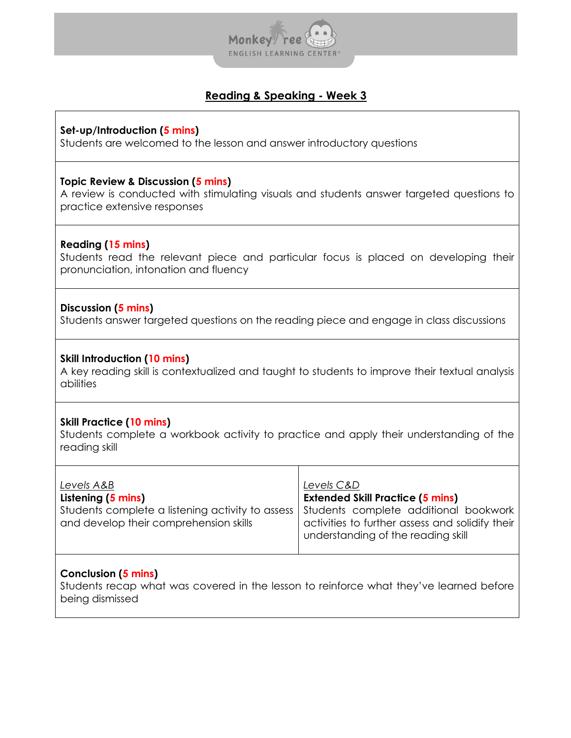

**Set-up/Introduction (5 mins)**

Students are welcomed to the lesson and answer introductory questions

### **Topic Review & Discussion (5 mins)**

A review is conducted with stimulating visuals and students answer targeted questions to practice extensive responses

### **Reading (15 mins)**

Students read the relevant piece and particular focus is placed on developing their pronunciation, intonation and fluency

## **Discussion (5 mins)**

Students answer targeted questions on the reading piece and engage in class discussions

### **Skill Introduction (10 mins)**

A key reading skill is contextualized and taught to students to improve their textual analysis abilities

### **Skill Practice (10 mins)**

Students complete a workbook activity to practice and apply their understanding of the reading skill

| Levels A&B                                                                                 | Levels C&D                                                                                                                     |
|--------------------------------------------------------------------------------------------|--------------------------------------------------------------------------------------------------------------------------------|
| Listening (5 mins)                                                                         | <b>Extended Skill Practice (5 mins)</b>                                                                                        |
| Students complete a listening activity to assess<br>and develop their comprehension skills | Students complete additional bookwork<br>activities to further assess and solidify their<br>understanding of the reading skill |

### **Conclusion (5 mins)**